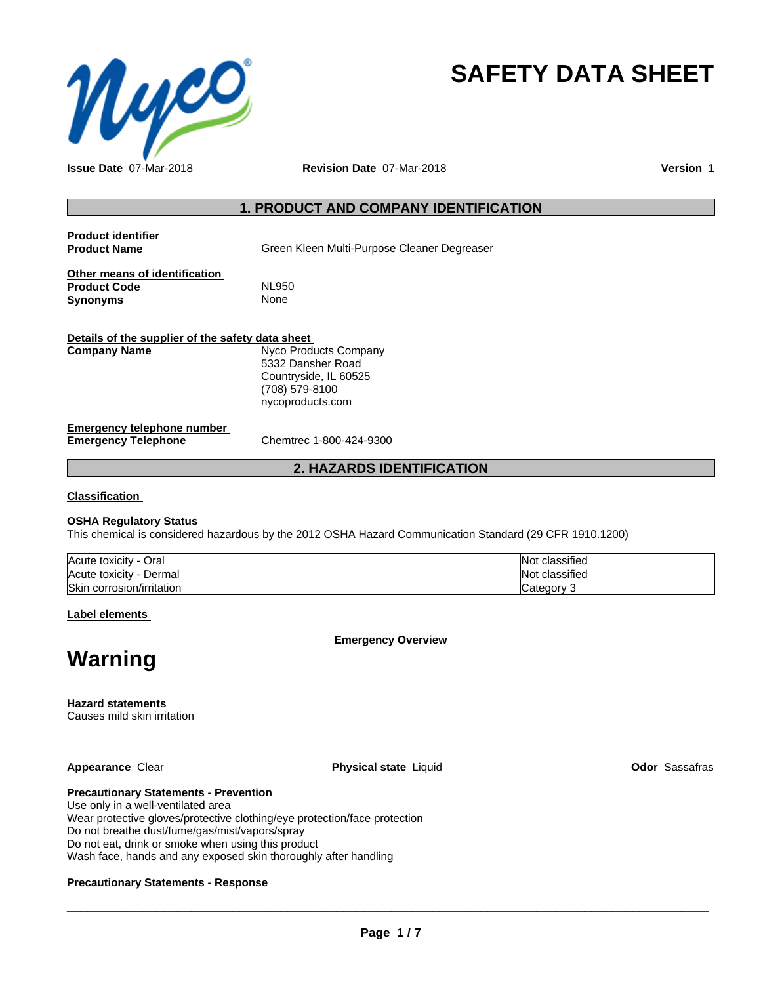

# **SAFETY DATA SHEET**

**Issue Date** 07-Mar-2018 **Revision Date** 07-Mar-2018 **Version** 1

## **1. PRODUCT AND COMPANY IDENTIFICATION**

**Product identifier**

**Green Kleen Multi-Purpose Cleaner Degreaser** 

**Other means of identification**<br>**Product Code** MI 950 **Product Code**<br> **Synonyms** None **Synonyms** 

| Details of the supplier of the safety data sheet  |                                                                                                           |
|---------------------------------------------------|-----------------------------------------------------------------------------------------------------------|
| Company Name                                      | Nyco Products Company<br>5332 Dansher Road<br>Countryside, IL 60525<br>(708) 579-8100<br>nycoproducts.com |
| Emergency telephone number<br>Emergency Telephone | Chemtrec 1-800-424-9300                                                                                   |

## **2. HAZARDS IDENTIFICATION**

**Classification**

#### **OSHA Regulatory Status**

This chemical is considered hazardous by the 2012 OSHA Hazard Communication Standard (29 CFR 1910.1200)

| Acute toxicity<br>Oral       | $\cdots$<br>classified<br>IN L        |
|------------------------------|---------------------------------------|
| Acute toxicity<br>Dermal     | $\cdot$<br>classified<br>IN 17<br>ง⊍เ |
| Skin<br>corrosion/irritation | Category<br>$\sim$                    |

**Label elements**

**Emergency Overview**

## **Warning**

**Hazard statements**

Causes mild skin irritation

**Appearance** Clear **Physical state** Liquid **Odor** Sassafras

## **Precautionary Statements - Prevention**

Use only in a well-ventilated area Wear protective gloves/protective clothing/eye protection/face protection Do not breathe dust/fume/gas/mist/vapors/spray Do not eat, drink or smoke when using this product Wash face, hands and any exposed skin thoroughly after handling

## **Precautionary Statements - Response**

 $\overline{\phantom{a}}$  ,  $\overline{\phantom{a}}$  ,  $\overline{\phantom{a}}$  ,  $\overline{\phantom{a}}$  ,  $\overline{\phantom{a}}$  ,  $\overline{\phantom{a}}$  ,  $\overline{\phantom{a}}$  ,  $\overline{\phantom{a}}$  ,  $\overline{\phantom{a}}$  ,  $\overline{\phantom{a}}$  ,  $\overline{\phantom{a}}$  ,  $\overline{\phantom{a}}$  ,  $\overline{\phantom{a}}$  ,  $\overline{\phantom{a}}$  ,  $\overline{\phantom{a}}$  ,  $\overline{\phantom{a}}$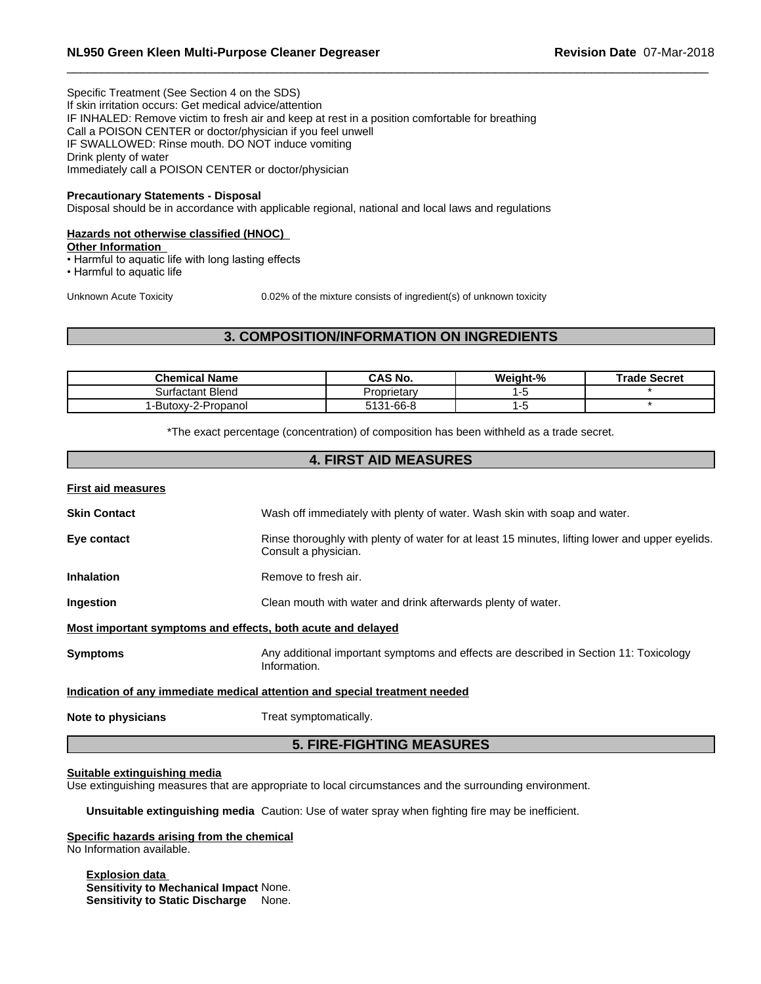Specific Treatment (See Section 4 on the SDS) If skin irritation occurs: Get medical advice/attention IF INHALED: Remove victim to fresh air and keep at rest in a position comfortable for breathing Call a POISON CENTER or doctor/physician if you feel unwell IF SWALLOWED: Rinse mouth. DO NOT induce vomiting Drink plenty of water Immediately call a POISON CENTER or doctor/physician

#### **Precautionary Statements - Disposal**

Disposal should be in accordance with applicable regional, national and local laws and regulations

#### **Hazards not otherwise classified (HNOC)**

**Other Information**

- Harmful to aquatic life with long lasting effects
- Harmful to aquatic life

Unknown Acute Toxicity 0.02% of the mixture consists of ingredient(s) of unknown toxicity

## **3. COMPOSITION/INFORMATION ON INGREDIENTS**

| Chemical Name       | <b>CAS No.</b> | Weight-% | Trade Secret |
|---------------------|----------------|----------|--------------|
| Surfactant Blend    | Proprietary    |          |              |
| 1-Butoxy-2-Propanol | 1-66-8<br>:404 |          |              |

\*The exact percentage (concentration) of composition has been withheld as a trade secret.

## **4. FIRST AID MEASURES**

| <b>First aid measures</b>                                   |                                                                                                                         |
|-------------------------------------------------------------|-------------------------------------------------------------------------------------------------------------------------|
| <b>Skin Contact</b>                                         | Wash off immediately with plenty of water. Wash skin with soap and water.                                               |
| Eye contact                                                 | Rinse thoroughly with plenty of water for at least 15 minutes, lifting lower and upper eyelids.<br>Consult a physician. |
| <b>Inhalation</b>                                           | Remove to fresh air.                                                                                                    |
| <b>Ingestion</b>                                            | Clean mouth with water and drink afterwards plenty of water.                                                            |
| Most important symptoms and effects, both acute and delayed |                                                                                                                         |
| <b>Symptoms</b>                                             | Any additional important symptoms and effects are described in Section 11: Toxicology<br>Information.                   |
|                                                             | Indication of any immediate medical attention and special treatment needed                                              |
| Note to physicians                                          | Treat symptomatically.                                                                                                  |

## **5. FIRE-FIGHTING MEASURES**

#### **Suitable extinguishing media**

Use extinguishing measures that are appropriate to local circumstances and the surrounding environment.

**Unsuitable extinguishing media** Caution: Use of water spray when fighting fire may be inefficient.

#### **Specific hazards arising from the chemical**

No Information available.

**Explosion data Sensitivity to Mechanical Impact** None. **Sensitivity to Static Discharge** None.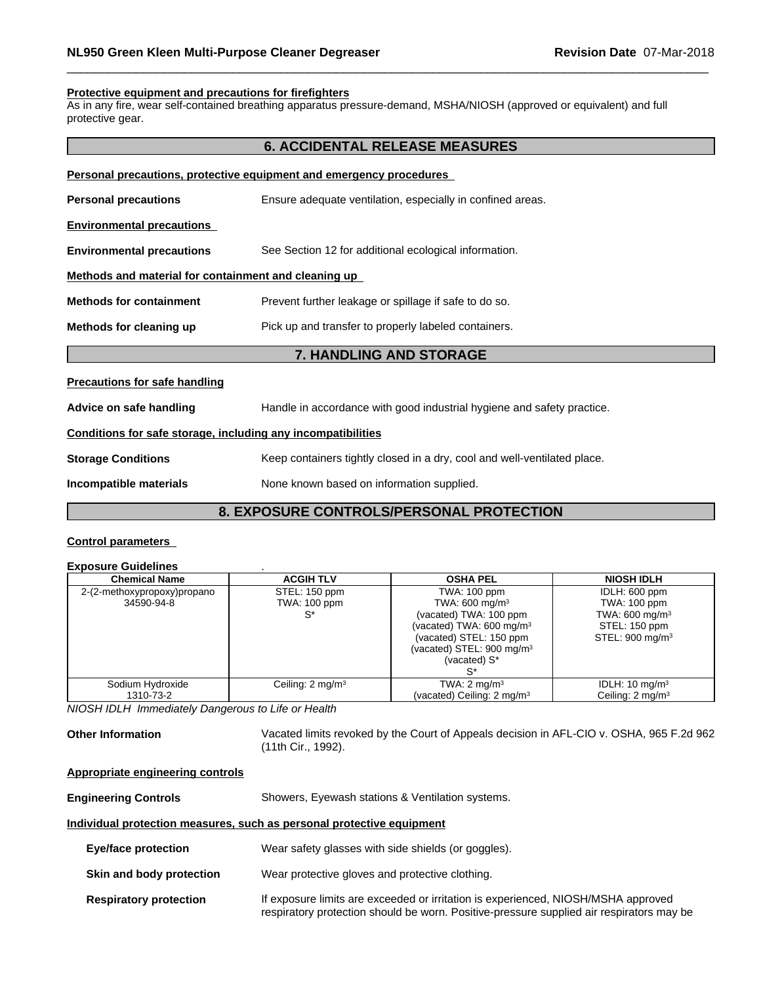#### **Protective equipment and precautions for firefighters**

As in any fire, wear self-contained breathing apparatus pressure-demand, MSHA/NIOSH (approved or equivalent) and full protective gear.

## **6. ACCIDENTAL RELEASE MEASURES**

| Personal precautions, protective equipment and emergency procedures |                                                            |  |
|---------------------------------------------------------------------|------------------------------------------------------------|--|
| <b>Personal precautions</b>                                         | Ensure adequate ventilation, especially in confined areas. |  |
| <b>Environmental precautions</b>                                    |                                                            |  |
| <b>Environmental precautions</b>                                    | See Section 12 for additional ecological information.      |  |
| Methods and material for containment and cleaning up                |                                                            |  |
| <b>Methods for containment</b>                                      | Prevent further leakage or spillage if safe to do so.      |  |
| Methods for cleaning up                                             | Pick up and transfer to properly labeled containers.       |  |
|                                                                     | 7. HANDLING AND STORAGE                                    |  |
|                                                                     |                                                            |  |

#### **Precautions for safe handling**

**Advice on safe handling** Handle in accordance with good industrial hygiene and safety practice.

#### **Conditions for safe storage, including any incompatibilities**

**Storage Conditions** Keep containers tightly closed in a dry, cool and well-ventilated place.

**Incompatible materials** None known based on information supplied.

## **8. EXPOSURE CONTROLS/PERSONAL PROTECTION**

#### **Control parameters**

## **Exposure Guidelines** .

| <b>Chemical Name</b>                      | <b>ACGIH TLV</b>                     | <b>OSHA PEL</b>                                                                                                                                                                               | <b>NIOSH IDLH</b>                                                                                          |
|-------------------------------------------|--------------------------------------|-----------------------------------------------------------------------------------------------------------------------------------------------------------------------------------------------|------------------------------------------------------------------------------------------------------------|
| 2-(2-methoxypropoxy)propano<br>34590-94-8 | STEL: 150 ppm<br><b>TWA: 100 ppm</b> | TWA: 100 ppm<br>TWA: $600 \text{ mg/m}^3$<br>(vacated) TWA: 100 ppm<br>(vacated) TWA: $600 \text{ mg/m}^3$<br>(vacated) STEL: 150 ppm<br>(vacated) STEL: $900 \text{ mg/m}^3$<br>(vacated) S* | IDLH: 600 ppm<br>TWA: 100 ppm<br>TWA: $600 \text{ mg/m}^3$<br>STEL: 150 ppm<br>STEL: 900 mg/m <sup>3</sup> |
| Sodium Hydroxide<br>1310-73-2             | Ceiling: $2 \text{ mg/m}^3$          | TWA: $2 \text{ mg/m}^3$<br>(vacated) Ceiling: 2 mg/m <sup>3</sup>                                                                                                                             | IDLH: $10 \text{ mg/m}^3$<br>Ceiling: $2 \text{ mg/m}^3$                                                   |

*NIOSH IDLH Immediately Dangerous to Life or Health*

**Other Information** Vacated limits revoked by the Court of Appeals decision in AFL-CIO v.OSHA, 965 F.2d 962 (11th Cir., 1992).

#### **Appropriate engineering controls**

**Engineering Controls** Showers, Eyewash stations & Ventilation systems.

#### **Individual protection measures, such as personal protective equipment**

| <b>Eye/face protection</b><br>Wear safety glasses with side shields (or goggles). |  |
|-----------------------------------------------------------------------------------|--|
|-----------------------------------------------------------------------------------|--|

- **Skin and body protection** Wear protective gloves and protective clothing.
- **Respiratory protection** If exposure limits are exceeded or irritation is experienced, NIOSH/MSHA approved respiratory protection should be worn. Positive-pressure supplied air respirators may be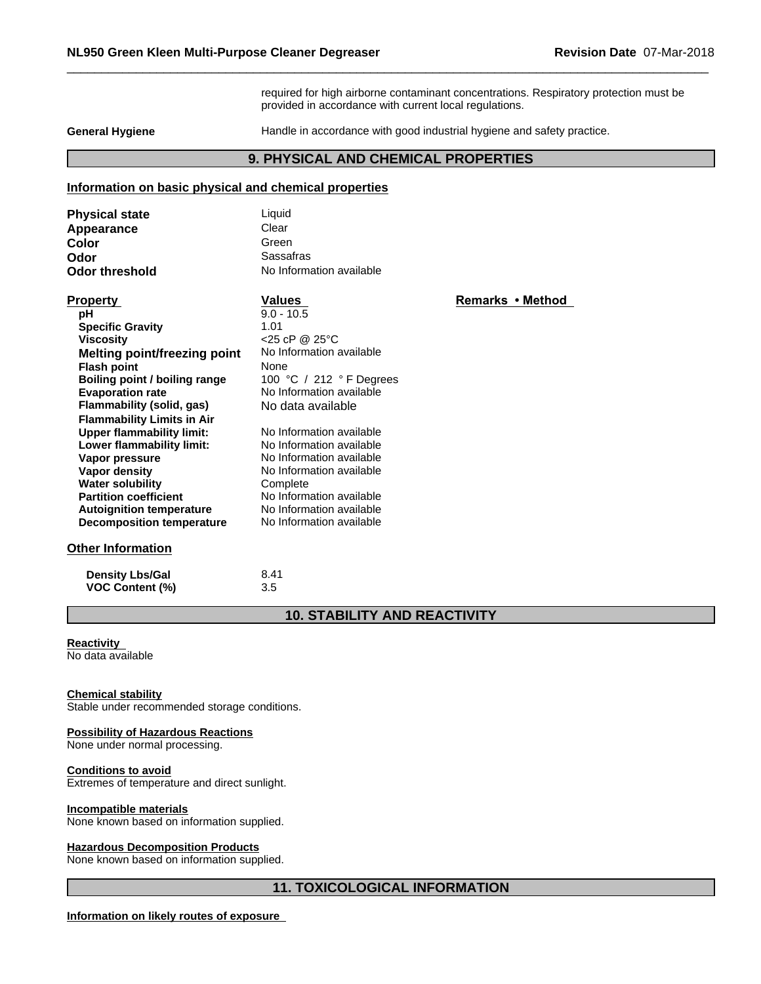required for high airborne contaminant concentrations. Respiratory protection must be provided in accordance with current local regulations.

**General Hygiene Handle in accordance with good industrial hygiene and safety practice.** 

## **9. PHYSICAL AND CHEMICAL PROPERTIES**

## **Information on basic physical and chemical properties**

| <b>Physical state</b> | Liauid                   |
|-----------------------|--------------------------|
| Appearance            | Clear                    |
| Color                 | Green                    |
| Odor                  | Sassafras                |
| <b>Odor threshold</b> | No Information available |

| <b>Property</b>                   | Values                     | Remarks • Method |
|-----------------------------------|----------------------------|------------------|
| рH                                | $9.0 - 10.5$               |                  |
| <b>Specific Gravity</b>           | 1.01                       |                  |
| <b>Viscosity</b>                  | $<$ 25 cP @ 25 $\degree$ C |                  |
| Melting point/freezing point      | No Information available   |                  |
| <b>Flash point</b>                | None                       |                  |
| Boiling point / boiling range     | 100 °C / 212 °F Degrees    |                  |
| <b>Evaporation rate</b>           | No Information available   |                  |
| Flammability (solid, gas)         | No data available          |                  |
| <b>Flammability Limits in Air</b> |                            |                  |
| <b>Upper flammability limit:</b>  | No Information available   |                  |
| Lower flammability limit:         | No Information available   |                  |
| Vapor pressure                    | No Information available   |                  |
| Vapor density                     | No Information available   |                  |
| <b>Water solubility</b>           | Complete                   |                  |
| <b>Partition coefficient</b>      | No Information available   |                  |
| <b>Autoignition temperature</b>   | No Information available   |                  |
| <b>Decomposition temperature</b>  | No Information available   |                  |
| <b>Other Information</b>          |                            |                  |

**Density Lbs/Gal** 8.41<br> **VOC Content (%)** 3.5 **VOC** Content (%)

## **10. STABILITY AND REACTIVITY**

## **Reactivity**

No data available

#### **Chemical stability**

Stable under recommended storage conditions.

## **Possibility of Hazardous Reactions**

None under normal processing.

#### **Conditions to avoid**

Extremes of temperature and direct sunlight.

#### **Incompatible materials**

None known based on information supplied.

## **Hazardous Decomposition Products**

None known based on information supplied.

## **11. TOXICOLOGICAL INFORMATION**

**Information on likely routes of exposure**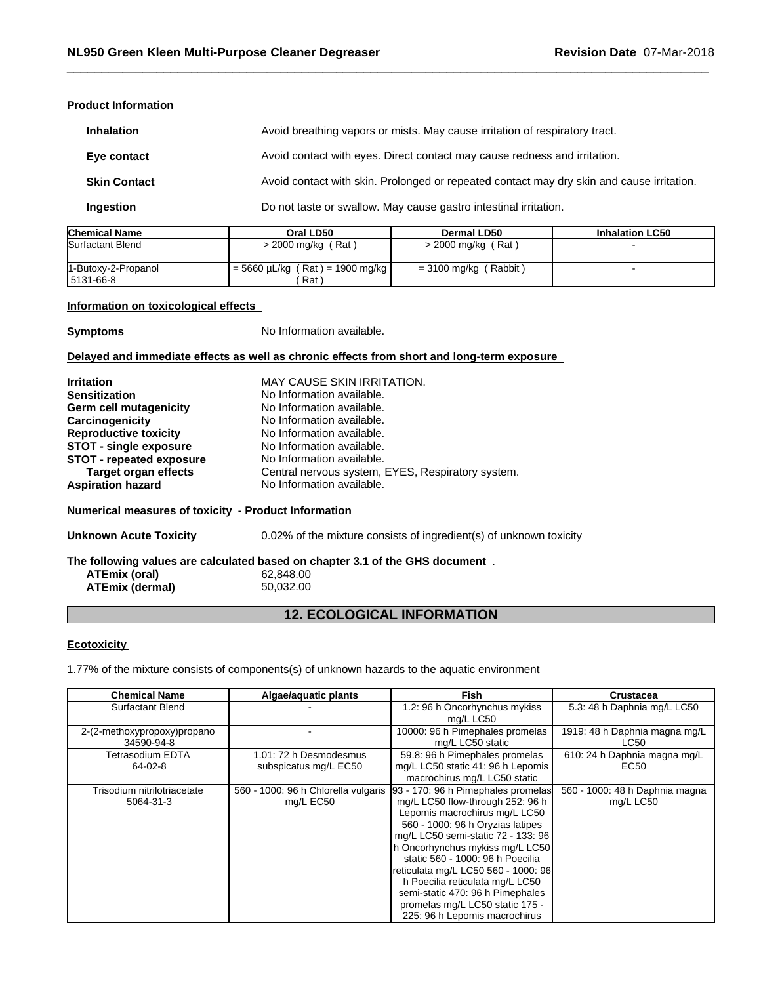#### **Product Information**

| <b>Inhalation</b>   | Avoid breathing vapors or mists. May cause irritation of respiratory tract.               |
|---------------------|-------------------------------------------------------------------------------------------|
| Eye contact         | Avoid contact with eyes. Direct contact may cause redness and irritation.                 |
| <b>Skin Contact</b> | Avoid contact with skin. Prolonged or repeated contact may dry skin and cause irritation. |
| Ingestion           | Do not taste or swallow. May cause gastro intestinal irritation.                          |

| <b>Chemical Name</b> | Oral LD50                            | Dermal LD50             | <b>Inhalation LC50</b> |
|----------------------|--------------------------------------|-------------------------|------------------------|
| Surfactant Blend     | > 2000 mg/kg (Rat)                   | $>$ 2000 mg/kg (Rat)    |                        |
| 1-Butoxy-2-Propanol  | $= 5660 \mu L/kg$ (Rat) = 1900 mg/kg | = 3100 mg/kg ( Rabbit ) |                        |
| 15131-66-8           | Rat)                                 |                         |                        |

## **Information on toxicological effects**

**Symptoms** No Information available.

#### **Delayed and immediate effects as well as chronic effects from short and long-term exposure**

| <b>Irritation</b>             | <b>MAY CAUSE SKIN IRRITATION.</b>                 |
|-------------------------------|---------------------------------------------------|
| <b>Sensitization</b>          | No Information available.                         |
| Germ cell mutagenicity        | No Information available.                         |
| Carcinogenicity               | No Information available.                         |
| <b>Reproductive toxicity</b>  | No Information available.                         |
| <b>STOT - single exposure</b> | No Information available.                         |
| STOT - repeated exposure      | No Information available.                         |
| <b>Target organ effects</b>   | Central nervous system, EYES, Respiratory system. |
| <b>Aspiration hazard</b>      | No Information available.                         |

## **Numerical measures of toxicity - Product Information**

**Unknown Acute Toxicity** 0.02% of the mixture consists of ingredient(s) of unknown toxicity

**The following values are calculated based on chapter 3.1 of the GHS document** . **ATEmix (oral)** 62,848.00<br> **ATEmix (dermal)** 50,032.00 **ATEmix (dermal)**50,032.00

## **12. ECOLOGICAL INFORMATION**

## **Ecotoxicity**

1.77% of the mixture consists of components(s) of unknown hazards to the aquatic environment

| <b>Chemical Name</b>        | Algae/aquatic plants                | Fish                                | Crustacea                      |
|-----------------------------|-------------------------------------|-------------------------------------|--------------------------------|
| Surfactant Blend            |                                     | 1.2: 96 h Oncorhynchus mykiss       | 5.3: 48 h Daphnia mg/L LC50    |
|                             |                                     | mg/L LC50                           |                                |
| 2-(2-methoxypropoxy)propano |                                     | 10000: 96 h Pimephales promelas     | 1919: 48 h Daphnia magna mg/L  |
| 34590-94-8                  |                                     | mg/L LC50 static                    | LC50                           |
| Tetrasodium EDTA            | 1.01: 72 h Desmodesmus              | 59.8: 96 h Pimephales promelas      | 610: 24 h Daphnia magna mg/L   |
| 64-02-8                     | subspicatus mg/L EC50               | mg/L LC50 static 41: 96 h Lepomis   | EC50                           |
|                             |                                     | macrochirus mg/L LC50 static        |                                |
| Trisodium nitrilotriacetate | 560 - 1000: 96 h Chlorella vulgaris | 93 - 170: 96 h Pimephales promelas  | 560 - 1000: 48 h Daphnia magna |
| 5064-31-3                   | mg/L EC50                           | mg/L LC50 flow-through 252: 96 h    | mg/L LC50                      |
|                             |                                     | Lepomis macrochirus mg/L LC50       |                                |
|                             |                                     | 560 - 1000: 96 h Oryzias latipes    |                                |
|                             |                                     | mg/L LC50 semi-static 72 - 133: 96  |                                |
|                             |                                     | h Oncorhynchus mykiss mg/L LC50     |                                |
|                             |                                     | static 560 - 1000: 96 h Poecilia    |                                |
|                             |                                     | reticulata mg/L LC50 560 - 1000: 96 |                                |
|                             |                                     | h Poecilia reticulata mg/L LC50     |                                |
|                             |                                     | semi-static 470: 96 h Pimephales    |                                |
|                             |                                     | promelas mg/L LC50 static 175 -     |                                |
|                             |                                     | 225: 96 h Lepomis macrochirus       |                                |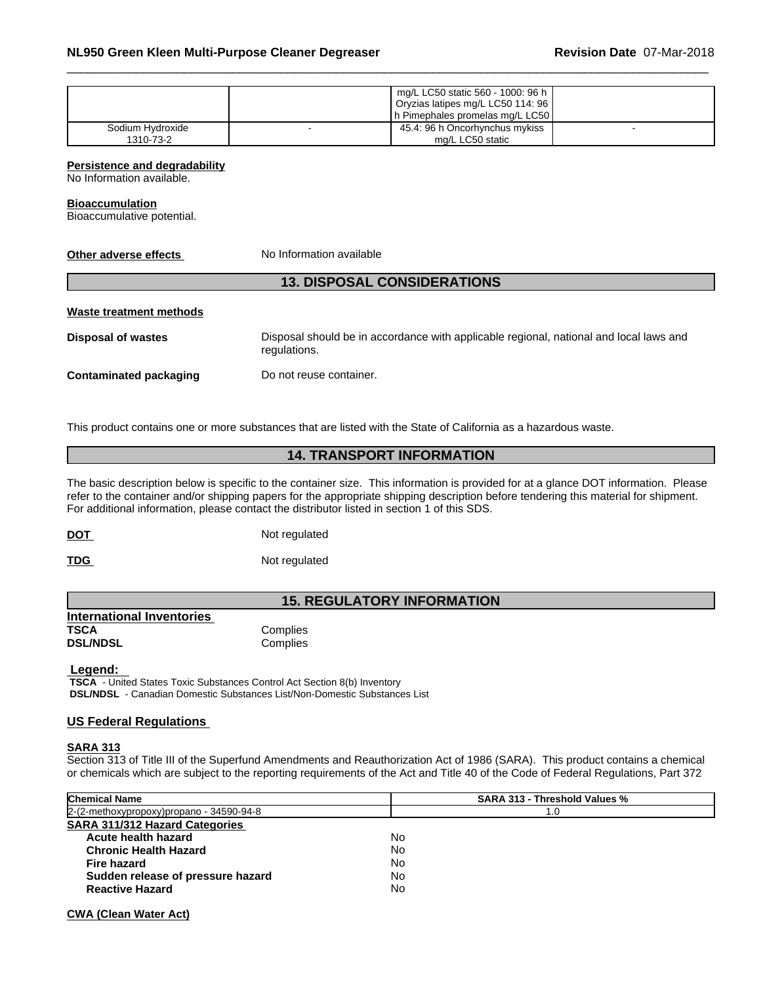|                  | mg/L LC50 static 560 - 1000: 96 h |                                   |  |
|------------------|-----------------------------------|-----------------------------------|--|
|                  | Oryzias latipes mg/L LC50 114: 96 |                                   |  |
|                  |                                   | h Pimephales promelas mg/L LC50 l |  |
| Sodium Hydroxide |                                   | 45.4: 96 h Oncorhynchus mykiss    |  |
| 1310-73-2        |                                   | mg/L LC50 static                  |  |

**Persistence and degradability**

No Information available.

#### **Bioaccumulation**

Bioaccumulative potential.

**No Information available** 

## **13. DISPOSAL CONSIDERATIONS**

#### **Waste treatment methods**

**Disposal of wastes** Disposal should be in accordance with applicable regional, national and local laws and regulations.

**Contaminated packaging** Do not reuse container.

This product contains one or more substances that are listed with the State of California as a hazardous waste.

## **14. TRANSPORT INFORMATION**

The basic description below is specific to the container size. This information is provided for at a glance DOT information. Please refer to the container and/or shipping papers for the appropriate shipping description before tendering this material for shipment. For additional information, please contact the distributor listed in section 1 of this SDS.

| <b>DOT</b> | Not regulated |
|------------|---------------|
|            |               |

**TDG** Not regulated

## **15. REGULATORY INFORMATION**

**International Inventories Complies DSL/NDSL** Complies

 **Legend: TSCA** - United States Toxic Substances Control Act Section 8(b) Inventory  **DSL/NDSL** - Canadian Domestic Substances List/Non-Domestic Substances List

## **US Federal Regulations**

#### **SARA 313**

Section 313 of Title III of the Superfund Amendments and Reauthorization Act of 1986 (SARA). This product contains a chemical or chemicals which are subject to the reporting requirements of the Act and Title 40 of the Code of Federal Regulations, Part 372

| <b>Chemical Name</b>                     | <b>SARA 313 - Threshold Values %</b> |
|------------------------------------------|--------------------------------------|
| 2-(2-methoxypropoxy)propano - 34590-94-8 | 1.0                                  |
| <b>SARA 311/312 Hazard Categories</b>    |                                      |
| Acute health hazard                      | No                                   |
| <b>Chronic Health Hazard</b>             | No                                   |
| Fire hazard                              | No                                   |
| Sudden release of pressure hazard        | No                                   |
| <b>Reactive Hazard</b>                   | No                                   |

**CWA** (Clean Water Act)